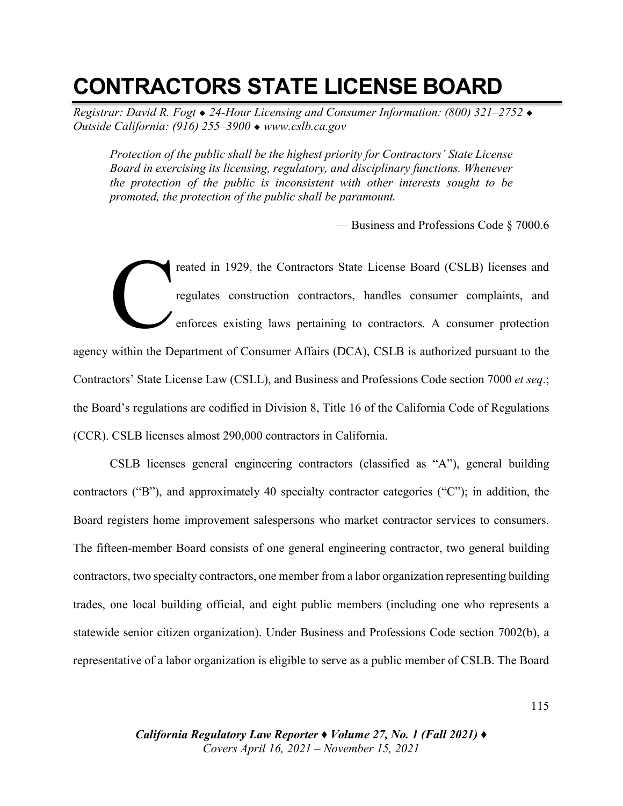# **CONTRACTORS STATE LICENSE BOARD**

*Registrar: David R. Fogt* ◆ *24-Hour Licensing and Consumer Information: (800) 321–2752* ◆ *Outside California: (916) 255–3900* ◆ *www.cslb.ca.gov* 

*Protection of the public shall be the highest priority for Contractors' State License Board in exercising its licensing, regulatory, and disciplinary functions. Whenever the protection of the public is inconsistent with other interests sought to be promoted, the protection of the public shall be paramount.*

— Business and Professions Code § 7000.6

reated in 1929, the Contractors State License Board (CSLB) licenses and regulates construction contractors, handles consumer complaints, and enforces existing laws pertaining to contractors. A consumer protection agency within the Department of Consumer Affairs (DCA), CSLB is authorized pursuant to the Contractors' State License Law (CSLL), and Business and Professions Code section 7000 *et seq*.; the Board's regulations are codified in Division 8, Title 16 of the California Code of Regulations (CCR). CSLB licenses almost 290,000 contractors in California. C

CSLB licenses general engineering contractors (classified as "A"), general building contractors ("B"), and approximately 40 specialty contractor categories ("C"); in addition, the Board registers home improvement salespersons who market contractor services to consumers. The fifteen-member Board consists of one general engineering contractor, two general building contractors, two specialty contractors, one member from a labor organization representing building trades, one local building official, and eight public members (including one who represents a statewide senior citizen organization). Under Business and Professions Code section 7002(b), a representative of a labor organization is eligible to serve as a public member of CSLB. The Board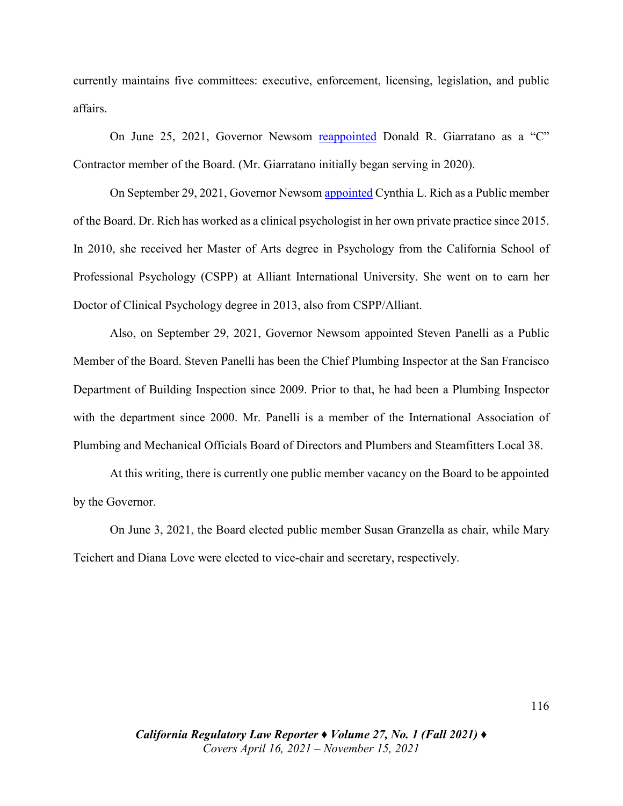currently maintains five committees: executive, enforcement, licensing, legislation, and public affairs.

On June 25, 2021, Governor Newsom [reappointed](https://perma.cc/EN6M-4NLY) Donald R. Giarratano as a "C" Contractor member of the Board. (Mr. Giarratano initially began serving in 2020).

On September 29, 2021, Governor Newsom [appointed C](https://perma.cc/74BZ-9GK8)ynthia L. Rich as a Public member of the Board. Dr. Rich has worked as a clinical psychologist in her own private practice since 2015. In 2010, she received her Master of Arts degree in Psychology from the California School of Professional Psychology (CSPP) at Alliant International University. She went on to earn her Doctor of Clinical Psychology degree in 2013, also from CSPP/Alliant.

Also, on September 29, 2021, Governor Newsom appointed Steven Panelli as a Public Member of the Board. Steven Panelli has been the Chief Plumbing Inspector at the San Francisco Department of Building Inspection since 2009. Prior to that, he had been a Plumbing Inspector with the department since 2000. Mr. Panelli is a member of the International Association of Plumbing and Mechanical Officials Board of Directors and Plumbers and Steamfitters Local 38.

At this writing, there is currently one public member vacancy on the Board to be appointed by the Governor.

On June 3, 2021, the Board elected public member Susan Granzella as chair, while Mary Teichert and Diana Love were elected to vice-chair and secretary, respectively.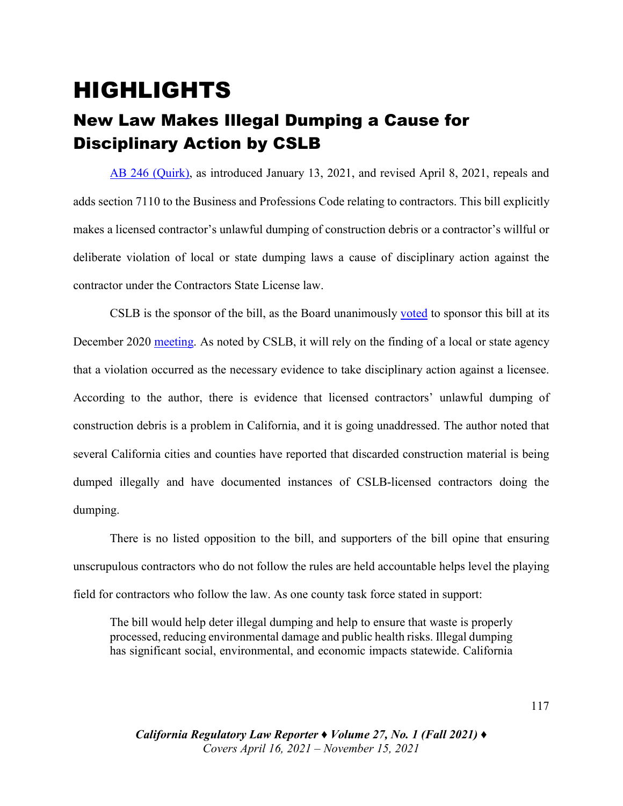## HIGHLIGHTS

### New Law Makes Illegal Dumping a Cause for Disciplinary Action by CSLB

[AB 246 \(Quirk\),](https://leginfo.legislature.ca.gov/faces/billTextClient.xhtml?bill_id=202120220AB246) as introduced January 13, 2021, and revised April 8, 2021, repeals and adds section 7110 to the Business and Professions Code relating to contractors. This bill explicitly makes a licensed contractor's unlawful dumping of construction debris or a contractor's willful or deliberate violation of local or state dumping laws a cause of disciplinary action against the contractor under the Contractors State License law.

CSLB is the sponsor of the bill, as the Board unanimously [voted](https://drive.google.com/file/d/1ya_pPaRI3hRC6s49cxq2SazmospONS3t/view?usp=sharing) to sponsor this bill at its December 2020 [meeting.](https://www.youtube.com/watch?v=3Xmdufq29Og&t=1169s) As noted by CSLB, it will rely on the finding of a local or state agency that a violation occurred as the necessary evidence to take disciplinary action against a licensee. According to the author, there is evidence that licensed contractors' unlawful dumping of construction debris is a problem in California, and it is going unaddressed. The author noted that several California cities and counties have reported that discarded construction material is being dumped illegally and have documented instances of CSLB-licensed contractors doing the dumping.

There is no listed opposition to the bill, and supporters of the bill opine that ensuring unscrupulous contractors who do not follow the rules are held accountable helps level the playing field for contractors who follow the law. As one county task force stated in support:

The bill would help deter illegal dumping and help to ensure that waste is properly processed, reducing environmental damage and public health risks. Illegal dumping has significant social, environmental, and economic impacts statewide. California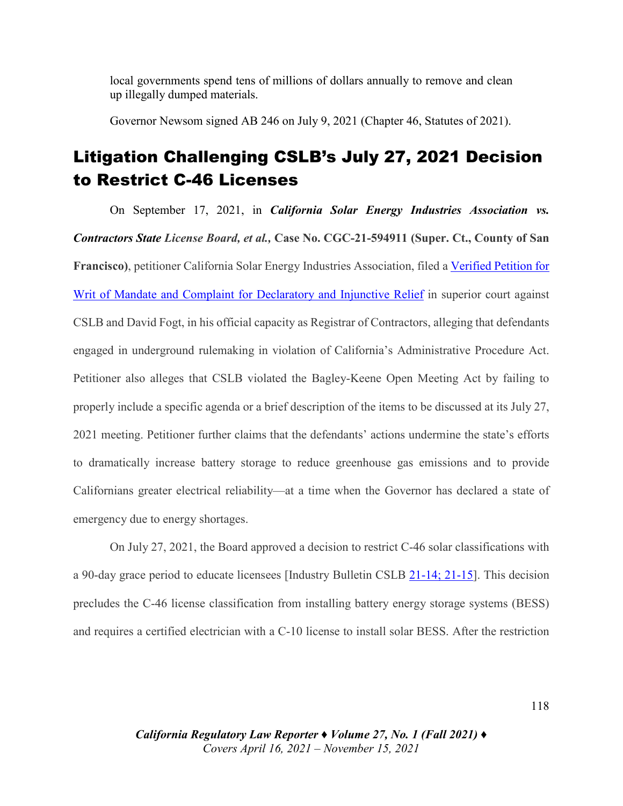local governments spend tens of millions of dollars annually to remove and clean up illegally dumped materials.

Governor Newsom signed AB 246 on July 9, 2021 (Chapter 46, Statutes of 2021).

#### Litigation Challenging CSLB's July 27, 2021 Decision to Restrict C-46 Licenses

On September 17, 2021, in *California Solar Energy Industries Association vs. Contractors State License Board, et al.,* **Case No. CGC-21-594911 (Super. Ct., County of San Francisco)**, petitioner California Solar Energy Industries Association, filed a [Verified](https://drive.google.com/file/d/10iRi0f09qBgv3QewMjebPnvxPb8ysW4R/view?usp=sharing) Petition for Writ of Mandate and Complaint for Declaratory [and Injunctive Relief](https://drive.google.com/file/d/10iRi0f09qBgv3QewMjebPnvxPb8ysW4R/view?usp=sharing) in superior court against CSLB and David Fogt, in his official capacity as Registrar of Contractors, alleging that defendants engaged in underground rulemaking in violation of California's Administrative Procedure Act. Petitioner also alleges that CSLB violated the Bagley-Keene Open Meeting Act by failing to properly include a specific agenda or a brief description of the items to be discussed at its July 27, 2021 meeting. Petitioner further claims that the defendants' actions undermine the state's efforts to dramatically increase battery storage to reduce greenhouse gas emissions and to provide Californians greater electrical reliability—at a time when the Governor has declared a state of emergency due to energy shortages.

On July 27, 2021, the Board approved a decision to restrict C-46 solar classifications with a 90-day grace period to educate licensees [Industry Bulletin CSLB [21-14;](https://perma.cc/2KY6-FTZM) [21-15\]](https://perma.cc/42XD-AY98). This decision precludes the C-46 license classification from installing battery energy storage systems (BESS) and requires a certified electrician with a C-10 license to install solar BESS. After the restriction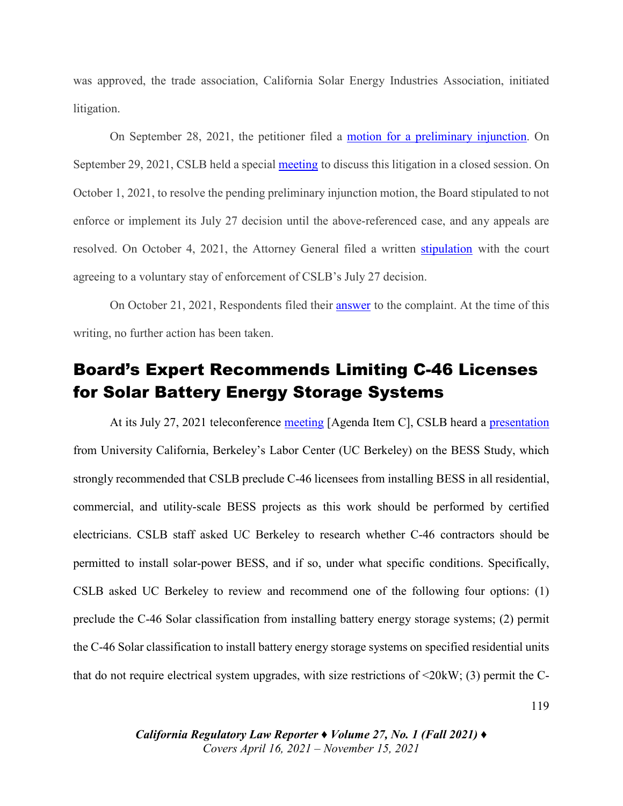was approved, the trade association, California Solar Energy Industries Association, initiated litigation.

On September 28, 2021, the petitioner filed a motion [for a preliminary injunction.](https://drive.google.com/file/d/1N1mcXXslKYKq791Xv0ej28m0nScnanGp/view?usp=sharing) On September 29, 2021, CSLB held a special [meeting](https://perma.cc/6WE2-KLXL) to discuss this litigation in a closed session. On October 1, 2021, to resolve the pending preliminary injunction motion, the Board stipulated to not enforce or implement its July 27 decision until the above-referenced case, and any appeals are resolved. On October 4, 2021, the Attorney General filed a written [stipulation](https://drive.google.com/file/d/1PpHnGnhPs3NxhMYKNKvBvHMihRUKLnFl/view?usp=sharing) with the court agreeing to a voluntary stay of enforcement of CSLB's July 27 decision.

On October 21, 2021, Respondents filed their [answer](https://drive.google.com/file/d/1dsC6qIaGJV2o__zHjvqFruZ1ZW8GiMAz/view?usp=sharing) to the complaint. At the time of this writing, no further action has been taken.

#### Board's Expert Recommends Limiting C-46 Licenses for Solar Battery Energy Storage Systems

At its July 27, 2021 teleconference [meeting](https://perma.cc/NCU6-R86K) [Agenda Item C], CSLB heard a [presentation](https://www.cslb.ca.gov/Resources/BoardPackets/2021/UC%20Berkeley%20CSLB%20Presentation-7-27-21.mp4) from University California, Berkeley's Labor Center (UC Berkeley) on the BESS Study, which strongly recommended that CSLB preclude C-46 licensees from installing BESS in all residential, commercial, and utility-scale BESS projects as this work should be performed by certified electricians. CSLB staff asked UC Berkeley to research whether C-46 contractors should be permitted to install solar-power BESS, and if so, under what specific conditions. Specifically, CSLB asked UC Berkeley to review and recommend one of the following four options: (1) preclude the C-46 Solar classification from installing battery energy storage systems; (2) permit the C-46 Solar classification to install battery energy storage systems on specified residential units that do not require electrical system upgrades, with size restrictions of  $\leq 20$ kW; (3) permit the C-

> *California Regulatory Law Reporter ♦ Volume 27, No. 1 (Fall 2021)* **♦** *Covers April 16, 2021 – November 15, 2021*

119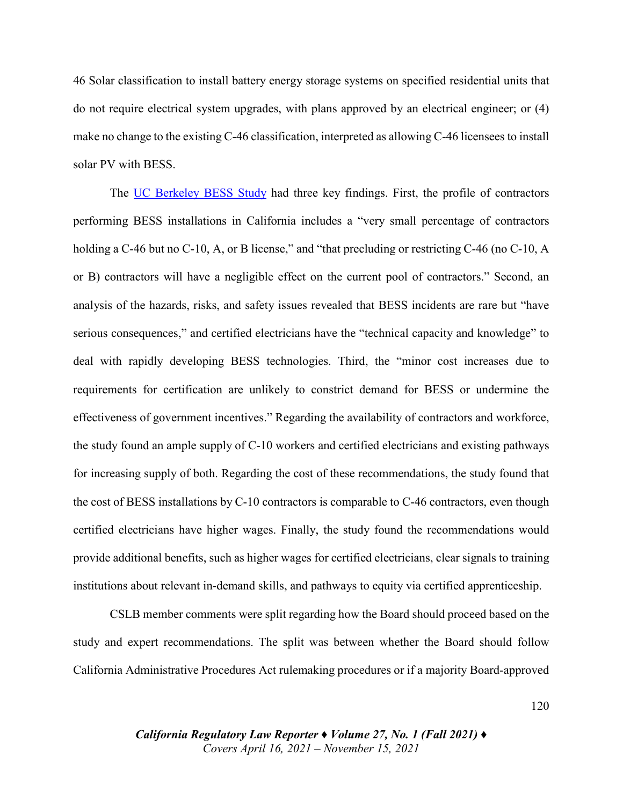46 Solar classification to install battery energy storage systems on specified residential units that do not require electrical system upgrades, with plans approved by an electrical engineer; or (4) make no change to the existing C-46 classification, interpreted as allowing C-46 licensees to install solar PV with BESS.

The [UC Berkeley BESS Study](https://drive.google.com/file/d/1BlZ1oGXv-w-zOrUEFfsno-EfjI6gIVru/view?usp=sharing) had three key findings. First, the profile of contractors performing BESS installations in California includes a "very small percentage of contractors holding a C-46 but no C-10, A, or B license," and "that precluding or restricting C-46 (no C-10, A or B) contractors will have a negligible effect on the current pool of contractors." Second, an analysis of the hazards, risks, and safety issues revealed that BESS incidents are rare but "have serious consequences," and certified electricians have the "technical capacity and knowledge" to deal with rapidly developing BESS technologies. Third, the "minor cost increases due to requirements for certification are unlikely to constrict demand for BESS or undermine the effectiveness of government incentives." Regarding the availability of contractors and workforce, the study found an ample supply of C-10 workers and certified electricians and existing pathways for increasing supply of both. Regarding the cost of these recommendations, the study found that the cost of BESS installations by C-10 contractors is comparable to C-46 contractors, even though certified electricians have higher wages. Finally, the study found the recommendations would provide additional benefits, such as higher wages for certified electricians, clear signals to training institutions about relevant in-demand skills, and pathways to equity via certified apprenticeship.

CSLB member comments were split regarding how the Board should proceed based on the study and expert recommendations. The split was between whether the Board should follow California Administrative Procedures Act rulemaking procedures or if a majority Board-approved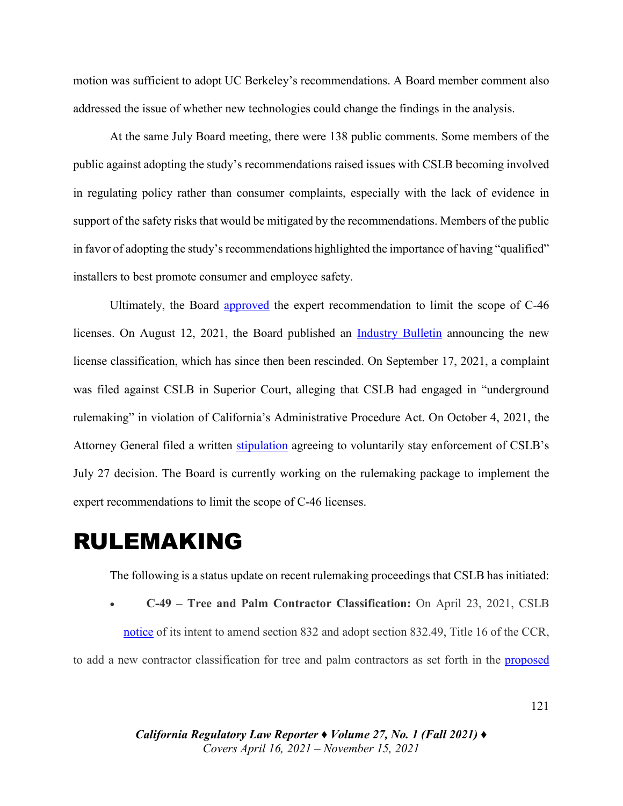motion was sufficient to adopt UC Berkeley's recommendations. A Board member comment also addressed the issue of whether new technologies could change the findings in the analysis.

At the same July Board meeting, there were 138 public comments. Some members of the public against adopting the study's recommendations raised issues with CSLB becoming involved in regulating policy rather than consumer complaints, especially with the lack of evidence in support of the safety risks that would be mitigated by the recommendations. Members of the public in favor of adopting the study's recommendations highlighted the importance of having "qualified" installers to best promote consumer and employee safety.

Ultimately, the Board [approved](https://drive.google.com/file/d/1At8jCdCCB1wnjdBqelDh3lm7JIHZTpwb/view?usp=sharing) the expert recommendation to limit the scope of C-46 licenses. On August 12, 2021, the Board published an [Industry Bulletin](https://perma.cc/5ZPH-6F37) announcing the new license classification, which has since then been rescinded. On September 17, 2021, a complaint was filed against CSLB in Superior Court, alleging that CSLB had engaged in "underground rulemaking" in violation of California's Administrative Procedure Act. On October 4, 2021, the Attorney General filed a written [stipulation](https://drive.google.com/file/d/1T4F4QhQPpO1WNjFrc8zmjorJD_HUdRnq/view?usp=sharing) agreeing to voluntarily stay enforcement of CSLB's July 27 decision. The Board is currently working on the rulemaking package to implement the expert recommendations to limit the scope of C-46 licenses.

### RULEMAKING

The following is a status update on recent rulemaking proceedings that CSLB has initiated:

• **C-49 – Tree and Palm Contractor Classification:** On April 23, 2021, CSLB notice of its intent to amend section 832 and adopt section 832.49, Title 16 of the CCR, to add a new contractor classification for tree and palm contractors as set forth in the [proposed](https://perma.cc/9WDK-J2LW)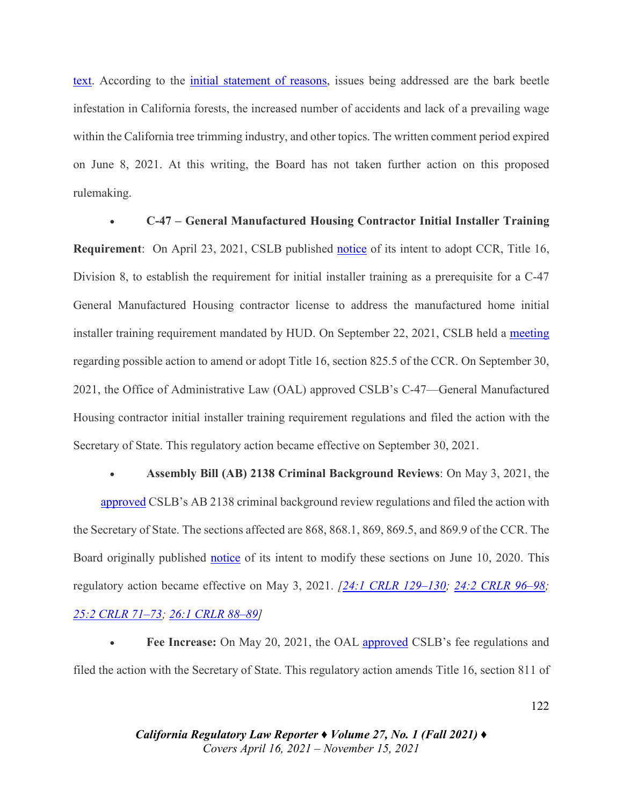[text.](https://perma.cc/9WDK-J2LW) According to the initial [statement of reasons,](https://perma.cc/TF2X-SS92) issues being addressed are the bark beetle infestation in California forests, the increased number of accidents and lack of a prevailing wage within the California tree trimming industry, and other topics. The written comment period expired on June 8, 2021. At this writing, the Board has not taken further action on this proposed rulemaking.

• **C-47 – General Manufactured Housing Contractor Initial Installer Training Requirement**: On April 23, 2021, CSLB published [notice](https://perma.cc/646C-CW2Z) of its intent to adopt CCR, Title 16, Division 8, to establish the requirement for initial installer training as a prerequisite for a C-47 General Manufactured Housing contractor license to address the manufactured home initial installer training requirement mandated by HUD. On September 22, 2021, CSLB held a [meeting](https://drive.google.com/file/d/1RiBW3ayKIGHGtqeDuev5O2287BVnNwSW/view?usp=sharing) regarding possible action to amend or adopt Title 16, section 825.5 of the CCR. On September 30, 2021, the Office of Administrative Law (OAL) approved CSLB's C-47—General Manufactured Housing contractor initial installer training requirement regulations and filed the action with the Secretary of State. This regulatory action became effective on September 30, 2021.

• **Assembly Bill (AB) 2138 Criminal Background Reviews**: On May 3, 2021, the [approved](https://perma.cc/9G7E-WSX3) CSLB's AB 2138 criminal background review regulations and filed the action with the Secretary of State. The sections affected are 868, 868.1, 869, 869.5, and 869.9 of the CCR. The Board originally published [notice](https://perma.cc/8N2L-FKUW) of its intent to modify these sections on June 10, 2020. This regulatory action became effective on May 3, 2021. *[\[24:1 CRLR 129–130;](https://digital.sandiego.edu/cgi/viewcontent.cgi?article=1385&context=crlr) [24:2 CRLR 96–98;](https://digital.sandiego.edu/cgi/viewcontent.cgi?article=2065&context=crlr) [25:2 CRLR 71–73;](https://digital.sandiego.edu/cgi/viewcontent.cgi?article=3061&context=crlr) [26:1 CRLR 88–89\]](https://digital.sandiego.edu/cgi/viewcontent.cgi?article=3078&context=crlr)*

• **Fee Increase:** On May 20, 2021, the OAL [approved](https://perma.cc/J8U2-RYJL) CSLB's fee regulations and filed the action with the Secretary of State. This regulatory action amends Title 16, section 811 of

> *California Regulatory Law Reporter ♦ Volume 27, No. 1 (Fall 2021)* **♦** *Covers April 16, 2021 – November 15, 2021*

#### 122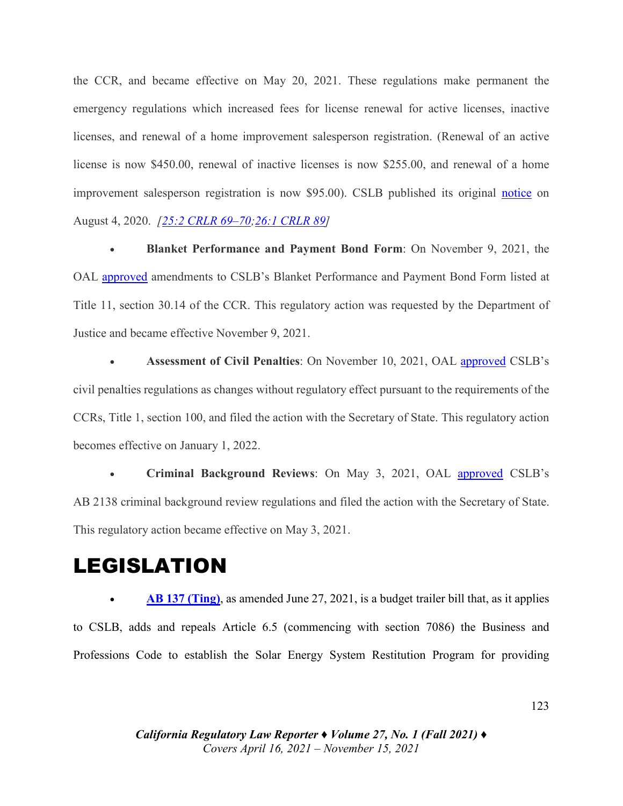the CCR, and became effective on May 20, 2021. These regulations make permanent the emergency regulations which increased fees for license renewal for active licenses, inactive licenses, and renewal of a home improvement salesperson registration. (Renewal of an active license is now \$450.00, renewal of inactive licenses is now \$255.00, and renewal of a home improvement salesperson registration is now \$95.00). CSLB published its original [notice](https://perma.cc/C7AT-MJ4B) on August 4, 2020. *[\[25:2 CRLR 69–70](https://digital.sandiego.edu/cgi/viewcontent.cgi?article=3061&context=crlr)[;26:1 CRLR 89\]](https://digital.sandiego.edu/cgi/viewcontent.cgi?article=3078&context=crlr)*

• **Blanket Performance and Payment Bond Form**: On November 9, 2021, the OAL [approved](https://perma.cc/Q9GA-2MHN) amendments to CSLB's Blanket Performance and Payment Bond Form listed at Title 11, section 30.14 of the CCR. This regulatory action was requested by the Department of Justice and became effective November 9, 2021.

• **Assessment of Civil Penalties**: On November 10, 2021, OAL [approved](https://perma.cc/U66K-JH4J) CSLB's civil penalties regulations as changes without regulatory effect pursuant to the requirements of the CCRs, Title 1, section 100, and filed the action with the Secretary of State. This regulatory action becomes effective on January 1, 2022.

• **Criminal Background Reviews**: On May 3, 2021, OAL [approved](https://perma.cc/QQ2G-8Y25) CSLB's AB 2138 criminal background review regulations and filed the action with the Secretary of State. This regulatory action became effective on May 3, 2021.

### LEGISLATION

• **[AB 137 \(Ting\)](https://leginfo.legislature.ca.gov/faces/billTextClient.xhtml?bill_id=202120220AB137)**, as amended June 27, 2021, is a budget trailer bill that, as it applies to CSLB, adds and repeals Article 6.5 (commencing with section 7086) the Business and Professions Code to establish the Solar Energy System Restitution Program for providing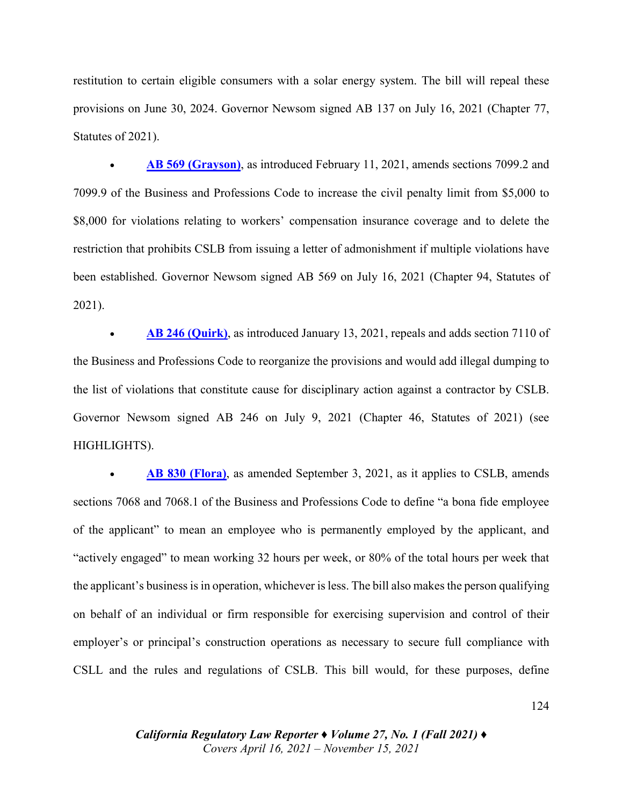restitution to certain eligible consumers with a solar energy system. The bill will repeal these provisions on June 30, 2024. Governor Newsom signed AB 137 on July 16, 2021 (Chapter 77, Statutes of 2021).

• **[AB 569 \(Grayson\)](https://leginfo.legislature.ca.gov/faces/billTextClient.xhtml?bill_id=202120220AB569)**, as introduced February 11, 2021, amends sections 7099.2 and 7099.9 of the Business and Professions Code to increase the civil penalty limit from \$5,000 to \$8,000 for violations relating to workers' compensation insurance coverage and to delete the restriction that prohibits CSLB from issuing a letter of admonishment if multiple violations have been established. Governor Newsom signed AB 569 on July 16, 2021 (Chapter 94, Statutes of 2021).

• **[AB 246 \(Quirk\)](https://leginfo.legislature.ca.gov/faces/billTextClient.xhtml?bill_id=202120220AB246)**, as introduced January 13, 2021, repeals and adds section 7110 of the Business and Professions Code to reorganize the provisions and would add illegal dumping to the list of violations that constitute cause for disciplinary action against a contractor by CSLB. Governor Newsom signed AB 246 on July 9, 2021 (Chapter 46, Statutes of 2021) (see HIGHLIGHTS).

• **[AB 830 \(Flora\)](https://leginfo.legislature.ca.gov/faces/billTextClient.xhtml?bill_id=202120220AB830)**, as amended September 3, 2021, as it applies to CSLB, amends sections 7068 and 7068.1 of the Business and Professions Code to define "a bona fide employee of the applicant" to mean an employee who is permanently employed by the applicant, and "actively engaged" to mean working 32 hours per week, or 80% of the total hours per week that the applicant's business isin operation, whichever isless. The bill also makes the person qualifying on behalf of an individual or firm responsible for exercising supervision and control of their employer's or principal's construction operations as necessary to secure full compliance with CSLL and the rules and regulations of CSLB. This bill would, for these purposes, define

> *California Regulatory Law Reporter ♦ Volume 27, No. 1 (Fall 2021)* **♦** *Covers April 16, 2021 – November 15, 2021*

124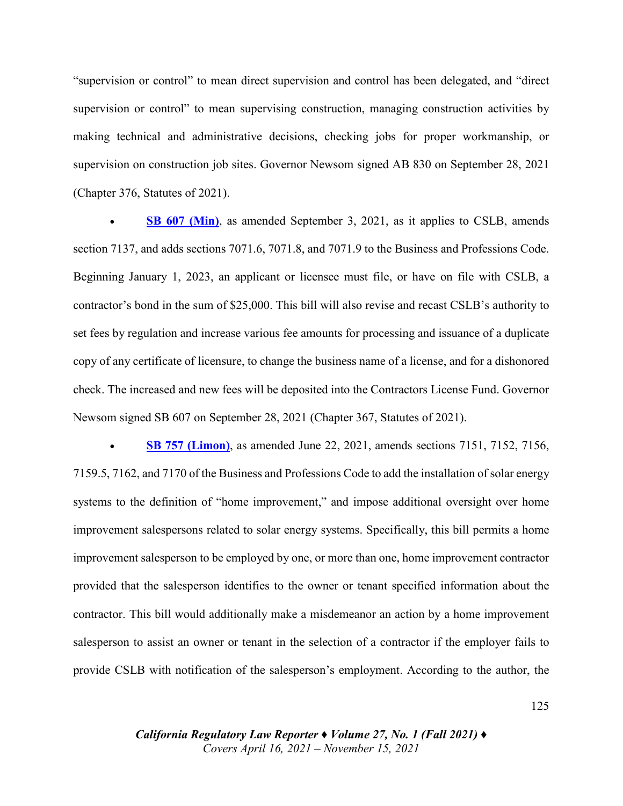"supervision or control" to mean direct supervision and control has been delegated, and "direct supervision or control" to mean supervising construction, managing construction activities by making technical and administrative decisions, checking jobs for proper workmanship, or supervision on construction job sites. Governor Newsom signed AB 830 on September 28, 2021 (Chapter 376, Statutes of 2021).

**[SB 607 \(Min\)](https://leginfo.legislature.ca.gov/faces/billTextClient.xhtml?bill_id=202120220SB607)**, as amended September 3, 2021, as it applies to CSLB, amends section 7137, and adds sections 7071.6, 7071.8, and 7071.9 to the Business and Professions Code. Beginning January 1, 2023, an applicant or licensee must file, or have on file with CSLB, a contractor's bond in the sum of \$25,000. This bill will also revise and recast CSLB's authority to set fees by regulation and increase various fee amounts for processing and issuance of a duplicate copy of any certificate of licensure, to change the business name of a license, and for a dishonored check. The increased and new fees will be deposited into the Contractors License Fund. Governor Newsom signed SB 607 on September 28, 2021 (Chapter 367, Statutes of 2021).

• **[SB 757 \(Limon\)](https://leginfo.legislature.ca.gov/faces/billTextClient.xhtml?bill_id=202120220SB757)**, as amended June 22, 2021, amends sections 7151, 7152, 7156, 7159.5, 7162, and 7170 of the Business and Professions Code to add the installation of solar energy systems to the definition of "home improvement," and impose additional oversight over home improvement salespersons related to solar energy systems. Specifically, this bill permits a home improvement salesperson to be employed by one, or more than one, home improvement contractor provided that the salesperson identifies to the owner or tenant specified information about the contractor. This bill would additionally make a misdemeanor an action by a home improvement salesperson to assist an owner or tenant in the selection of a contractor if the employer fails to provide CSLB with notification of the salesperson's employment. According to the author, the